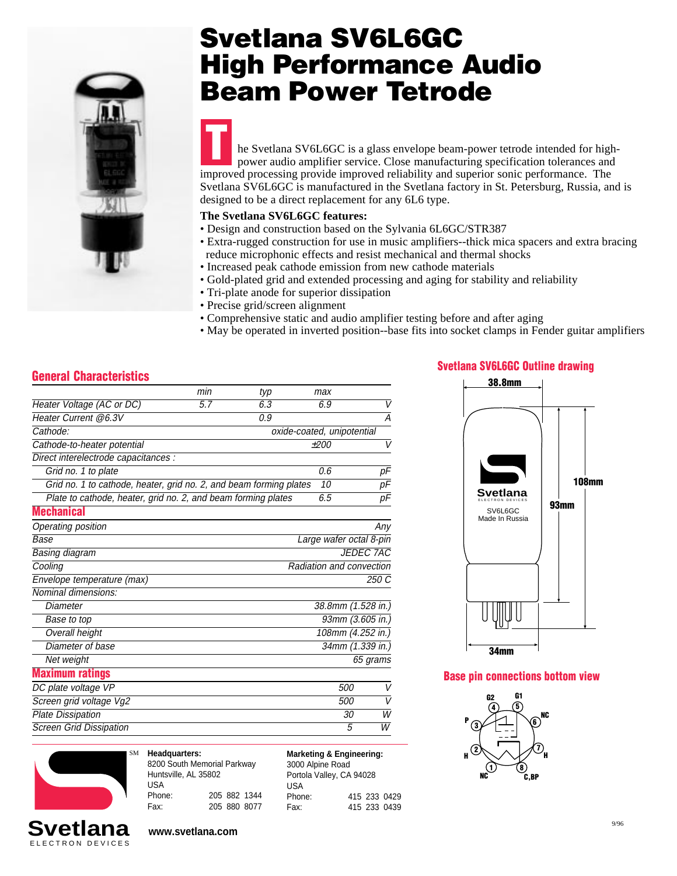

## **Svetlana SV6L6GC High Performance Audio Beam Power Tetrode**

he Svetlana SV6L6GC is a glass envelope beam-power tetrode intended for highpower audio amplifier service. Close manufacturing specification tolerances and improved processing provide improved reliability and superior sonic performance. The Svetlana SV6L6GC is manufactured in the Svetlana factory in St. Petersburg, Russia, and is designed to be a direct replacement for any 6L6 type. **T**

#### **The Svetlana SV6L6GC features:**

- Design and construction based on the Sylvania 6L6GC/STR387
- Extra-rugged construction for use in music amplifiers--thick mica spacers and extra bracing reduce microphonic effects and resist mechanical and thermal shocks
- Increased peak cathode emission from new cathode materials
- Gold-plated grid and extended processing and aging for stability and reliability
- Tri-plate anode for superior dissipation
- Precise grid/screen alignment
- Comprehensive static and audio amplifier testing before and after aging
- May be operated in inverted position--base fits into socket clamps in Fender guitar amplifiers

### **General Characteristics**

|                                                                    | min | typ | max                        |                  |
|--------------------------------------------------------------------|-----|-----|----------------------------|------------------|
| Heater Voltage (AC or DC)                                          | 5.7 | 6.3 | 6.9                        | V                |
| Heater Current @6.3V                                               |     | 0.9 |                            | Α                |
| Cathode:                                                           |     |     | oxide-coated, unipotential |                  |
| Cathode-to-heater potential                                        |     |     | $+200$                     | V                |
| Direct interelectrode capacitances :                               |     |     |                            |                  |
| Grid no. 1 to plate                                                |     |     | 0.6                        | pF               |
| Grid no. 1 to cathode, heater, grid no. 2, and beam forming plates |     |     | 10                         | $\overline{pF}$  |
| Plate to cathode, heater, grid no. 2, and beam forming plates      |     |     | 6.5                        | рF               |
| <b>Mechanical</b>                                                  |     |     |                            |                  |
| Operating position                                                 |     |     |                            | Any              |
| Base                                                               |     |     | Large wafer octal 8-pin    |                  |
| Basing diagram                                                     |     |     |                            | <b>JEDEC 7AC</b> |
| Cooling                                                            |     |     | Radiation and convection   |                  |
| Envelope temperature (max)                                         |     |     |                            | 250 C            |
| Nominal dimensions:                                                |     |     |                            |                  |
| Diameter                                                           |     |     | 38.8mm (1.528 in.)         |                  |
| Base to top                                                        |     |     |                            | 93mm (3.605 in.) |
| <b>Overall height</b>                                              |     |     | 108mm (4.252 in.)          |                  |
| Diameter of base                                                   |     |     |                            | 34mm (1.339 in.) |
| Net weight                                                         |     |     |                            | 65 grams         |
| <b>Maximum ratings</b>                                             |     |     |                            |                  |
| DC plate voltage VP                                                |     |     | 500                        | V                |
| Screen grid voltage Vg2                                            |     |     | 500                        | V                |
| <b>Plate Dissipation</b>                                           |     |     | 30                         | W                |
| <b>Screen Grid Dissipation</b>                                     |     |     | 5                          | W                |



ELECTRON DEVICES

**Headquarters:** 8200 South Memorial Parkway Huntsville, AL 35802 USA Phone: 205 882 1344 Fax: 205 880 8077 **Marketing & Engineering:** 3000 Alpine Road Portola Valley, CA 94028 USA Phone: 415 233 0429 Fax: 415 233 0439

#### **Svetlana SV6L6GC Outline drawing**



**Base pin connections bottom view**